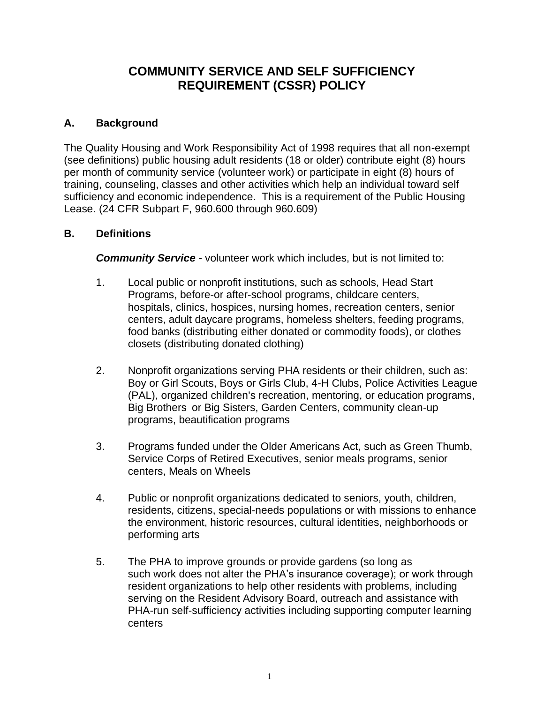# **COMMUNITY SERVICE AND SELF SUFFICIENCY REQUIREMENT (CSSR) POLICY**

## **A. Background**

The Quality Housing and Work Responsibility Act of 1998 requires that all non-exempt (see definitions) public housing adult residents (18 or older) contribute eight (8) hours per month of community service (volunteer work) or participate in eight (8) hours of training, counseling, classes and other activities which help an individual toward self sufficiency and economic independence. This is a requirement of the Public Housing Lease. (24 CFR Subpart F, 960.600 through 960.609)

### **B. Definitions**

*Community Service* - volunteer work which includes, but is not limited to:

- 1. Local public or nonprofit institutions, such as schools, Head Start Programs, before-or after-school programs, childcare centers, hospitals, clinics, hospices, nursing homes, recreation centers, senior centers, adult daycare programs, homeless shelters, feeding programs, food banks (distributing either donated or commodity foods), or clothes closets (distributing donated clothing)
- 2. Nonprofit organizations serving PHA residents or their children, such as: Boy or Girl Scouts, Boys or Girls Club, 4-H Clubs, Police Activities League (PAL), organized children's recreation, mentoring, or education programs, Big Brothers or Big Sisters, Garden Centers, community clean-up programs, beautification programs
- 3. Programs funded under the Older Americans Act, such as Green Thumb, Service Corps of Retired Executives, senior meals programs, senior centers, Meals on Wheels
- 4. Public or nonprofit organizations dedicated to seniors, youth, children, residents, citizens, special-needs populations or with missions to enhance the environment, historic resources, cultural identities, neighborhoods or performing arts
- 5. The PHA to improve grounds or provide gardens (so long as such work does not alter the PHA's insurance coverage); or work through resident organizations to help other residents with problems, including serving on the Resident Advisory Board, outreach and assistance with PHA-run self-sufficiency activities including supporting computer learning centers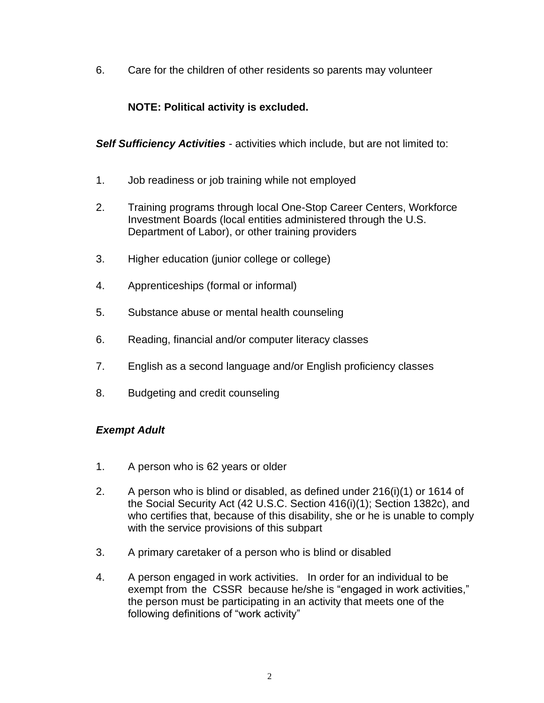6. Care for the children of other residents so parents may volunteer

## **NOTE: Political activity is excluded.**

*Self Sufficiency Activities* - activities which include, but are not limited to:

- 1. Job readiness or job training while not employed
- 2. Training programs through local One-Stop Career Centers, Workforce Investment Boards (local entities administered through the U.S. Department of Labor), or other training providers
- 3. Higher education (junior college or college)
- 4. Apprenticeships (formal or informal)
- 5. Substance abuse or mental health counseling
- 6. Reading, financial and/or computer literacy classes
- 7. English as a second language and/or English proficiency classes
- 8. Budgeting and credit counseling

#### *Exempt Adult*

- 1. A person who is 62 years or older
- 2. A person who is blind or disabled, as defined under 216(i)(1) or 1614 of the Social Security Act (42 U.S.C. Section 416(i)(1); Section 1382c), and who certifies that, because of this disability, she or he is unable to comply with the service provisions of this subpart
- 3. A primary caretaker of a person who is blind or disabled
- 4. A person engaged in work activities. In order for an individual to be exempt from the CSSR because he/she is "engaged in work activities," the person must be participating in an activity that meets one of the following definitions of "work activity"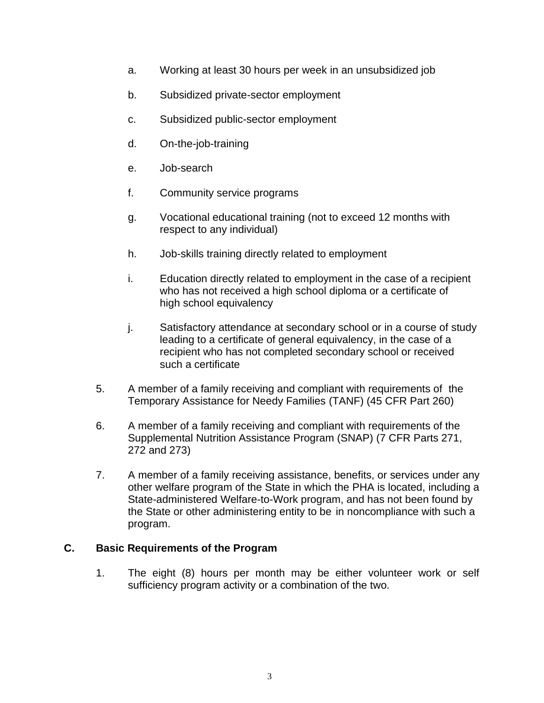- a. Working at least 30 hours per week in an unsubsidized job
- b. Subsidized private-sector employment
- c. Subsidized public-sector employment
- d. On-the-job-training
- e. Job-search
- f. Community service programs
- g. Vocational educational training (not to exceed 12 months with respect to any individual)
- h. Job-skills training directly related to employment
- i. Education directly related to employment in the case of a recipient who has not received a high school diploma or a certificate of high school equivalency
- j. Satisfactory attendance at secondary school or in a course of study leading to a certificate of general equivalency, in the case of a recipient who has not completed secondary school or received such a certificate
- 5. A member of a family receiving and compliant with requirements of the Temporary Assistance for Needy Families (TANF) (45 CFR Part 260)
- 6. A member of a family receiving and compliant with requirements of the Supplemental Nutrition Assistance Program (SNAP) (7 CFR Parts 271, 272 and 273)
- 7. A member of a family receiving assistance, benefits, or services under any other welfare program of the State in which the PHA is located, including a State-administered Welfare-to-Work program, and has not been found by the State or other administering entity to be in noncompliance with such a program.

### **C. Basic Requirements of the Program**

1. The eight (8) hours per month may be either volunteer work or self sufficiency program activity or a combination of the two.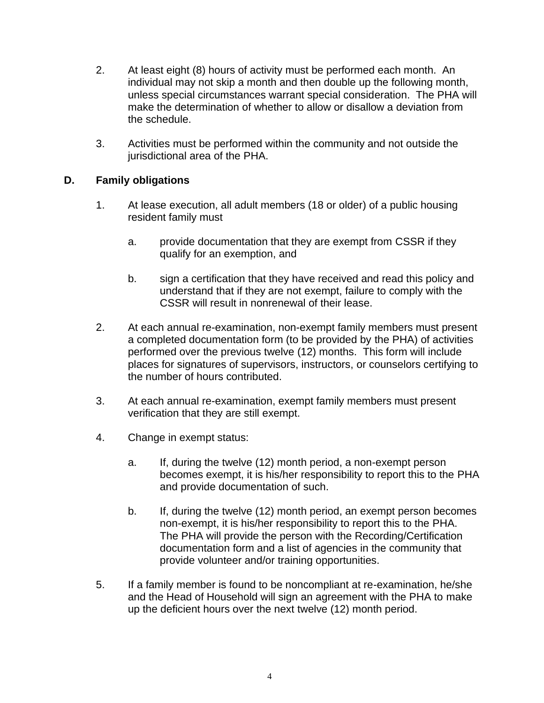- 2. At least eight (8) hours of activity must be performed each month. An individual may not skip a month and then double up the following month, unless special circumstances warrant special consideration. The PHA will make the determination of whether to allow or disallow a deviation from the schedule.
- 3. Activities must be performed within the community and not outside the jurisdictional area of the PHA.

### **D. Family obligations**

- 1. At lease execution, all adult members (18 or older) of a public housing resident family must
	- a. provide documentation that they are exempt from CSSR if they qualify for an exemption, and
	- b. sign a certification that they have received and read this policy and understand that if they are not exempt, failure to comply with the CSSR will result in nonrenewal of their lease.
- 2. At each annual re-examination, non-exempt family members must present a completed documentation form (to be provided by the PHA) of activities performed over the previous twelve (12) months. This form will include places for signatures of supervisors, instructors, or counselors certifying to the number of hours contributed.
- 3. At each annual re-examination, exempt family members must present verification that they are still exempt.
- 4. Change in exempt status:
	- a. If, during the twelve (12) month period, a non-exempt person becomes exempt, it is his/her responsibility to report this to the PHA and provide documentation of such.
	- b. If, during the twelve (12) month period, an exempt person becomes non-exempt, it is his/her responsibility to report this to the PHA. The PHA will provide the person with the Recording/Certification documentation form and a list of agencies in the community that provide volunteer and/or training opportunities.
- 5. If a family member is found to be noncompliant at re-examination, he/she and the Head of Household will sign an agreement with the PHA to make up the deficient hours over the next twelve (12) month period.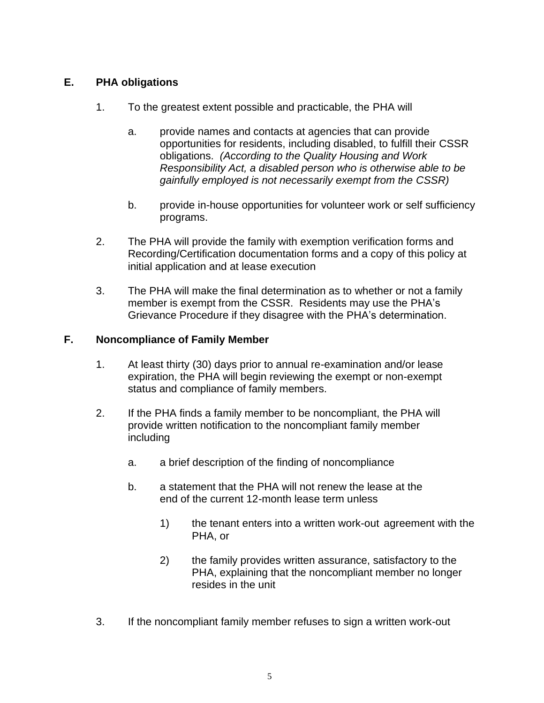### **E. PHA obligations**

- 1. To the greatest extent possible and practicable, the PHA will
	- a. provide names and contacts at agencies that can provide opportunities for residents, including disabled, to fulfill their CSSR obligations. *(According to the Quality Housing and Work Responsibility Act, a disabled person who is otherwise able to be gainfully employed is not necessarily exempt from the CSSR)*
	- b. provide in-house opportunities for volunteer work or self sufficiency programs.
- 2. The PHA will provide the family with exemption verification forms and Recording/Certification documentation forms and a copy of this policy at initial application and at lease execution
- 3. The PHA will make the final determination as to whether or not a family member is exempt from the CSSR. Residents may use the PHA's Grievance Procedure if they disagree with the PHA's determination.

### **F. Noncompliance of Family Member**

- 1. At least thirty (30) days prior to annual re-examination and/or lease expiration, the PHA will begin reviewing the exempt or non-exempt status and compliance of family members.
- 2. If the PHA finds a family member to be noncompliant, the PHA will provide written notification to the noncompliant family member including
	- a. a brief description of the finding of noncompliance
	- b. a statement that the PHA will not renew the lease at the end of the current 12-month lease term unless
		- 1) the tenant enters into a written work-out agreement with the PHA, or
		- 2) the family provides written assurance, satisfactory to the PHA, explaining that the noncompliant member no longer resides in the unit
- 3. If the noncompliant family member refuses to sign a written work-out